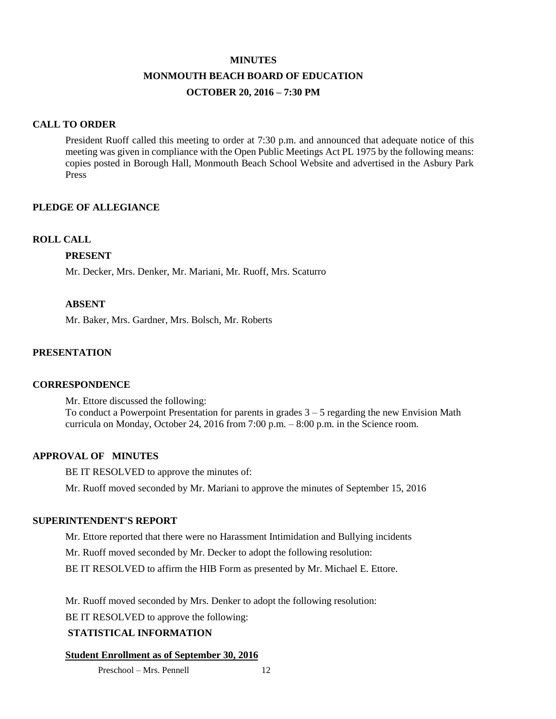#### **MINUTES**

# **MONMOUTH BEACH BOARD OF EDUCATION OCTOBER 20, 2016 – 7:30 PM**

# **CALL TO ORDER**

President Ruoff called this meeting to order at 7:30 p.m. and announced that adequate notice of this meeting was given in compliance with the Open Public Meetings Act PL 1975 by the following means: copies posted in Borough Hall, Monmouth Beach School Website and advertised in the Asbury Park Press

# **PLEDGE OF ALLEGIANCE**

### **ROLL CALL**

### **PRESENT**

Mr. Decker, Mrs. Denker, Mr. Mariani, Mr. Ruoff, Mrs. Scaturro

### **ABSENT**

Mr. Baker, Mrs. Gardner, Mrs. Bolsch, Mr. Roberts

# **PRESENTATION**

### **CORRESPONDENCE**

Mr. Ettore discussed the following: To conduct a Powerpoint Presentation for parents in grades  $3 - 5$  regarding the new Envision Math curricula on Monday, October 24, 2016 from  $7:00$  p.m.  $-8:00$  p.m. in the Science room.

### **APPROVAL OF MINUTES**

BE IT RESOLVED to approve the minutes of:

Mr. Ruoff moved seconded by Mr. Mariani to approve the minutes of September 15, 2016

### **SUPERINTENDENT'S REPORT**

Mr. Ettore reported that there were no Harassment Intimidation and Bullying incidents

Mr. Ruoff moved seconded by Mr. Decker to adopt the following resolution:

BE IT RESOLVED to affirm the HIB Form as presented by Mr. Michael E. Ettore.

Mr. Ruoff moved seconded by Mrs. Denker to adopt the following resolution:

BE IT RESOLVED to approve the following:

### **STATISTICAL INFORMATION**

### **Student Enrollment as of September 30, 2016**

Preschool – Mrs. Pennell 12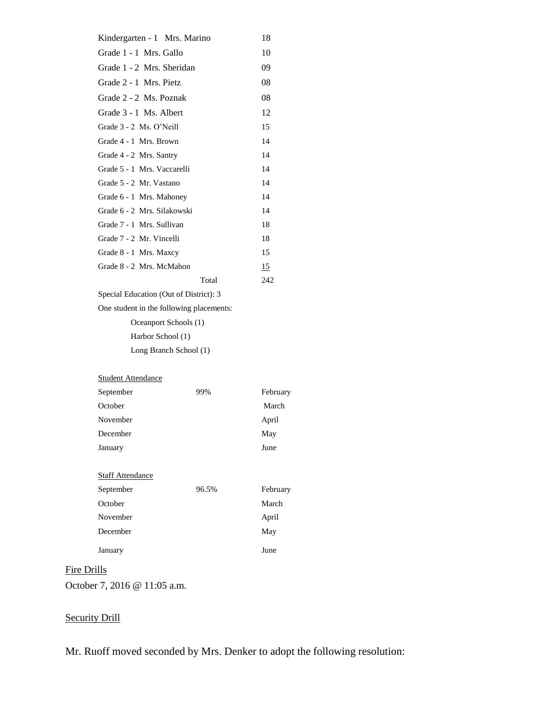| Kindergarten - 1 Mrs. Marino           |       | 18        |
|----------------------------------------|-------|-----------|
| Grade 1 - 1 Mrs. Gallo                 |       | 10        |
| Grade 1 - 2 Mrs. Sheridan              |       | 09        |
| Grade 2 - 1 Mrs. Pietz                 |       | 08        |
| Grade 2 - 2 Ms. Poznak                 |       | 08        |
| Grade 3 - 1 Ms. Albert                 |       | 12        |
| Grade 3 - 2 Ms. O'Neill                |       | 15        |
| Grade 4 - 1 Mrs. Brown                 |       | 14        |
| Grade 4 - 2 Mrs. Santry                |       | 14        |
| Grade 5 - 1 Mrs. Vaccarelli            |       | 14        |
| Grade 5 - 2 Mr. Vastano                |       | 14        |
| Grade 6 - 1 Mrs. Mahoney               |       | 14        |
| Grade 6 - 2 Mrs. Silakowski            |       | 14        |
| Grade 7 - 1 Mrs. Sullivan              |       | 18        |
| Grade 7 - 2 Mr. Vincelli               |       | 18        |
| Grade 8 - 1 Mrs. Maxcy                 |       | 15        |
| Grade 8 - 2 Mrs. McMahon               |       | <u>15</u> |
|                                        | Total | 242       |
| Special Education (Out of District): 3 |       |           |

One student in the following placements:

Oceanport Schools (1)

Harbor School (1)

Long Branch School (1)

#### Student Attendance

| 99% | February |
|-----|----------|
|     | March    |
|     | April    |
|     | May      |
|     | June     |
|     |          |

# **Staff Attendance**

| September | 96.5% | February |
|-----------|-------|----------|
| October   |       | March    |
| November  |       | April    |
| December  |       | May      |
| January   |       | June     |

# Fire Drills

October 7, 2016 @ 11:05 a.m.

# **Security Drill**

Mr. Ruoff moved seconded by Mrs. Denker to adopt the following resolution: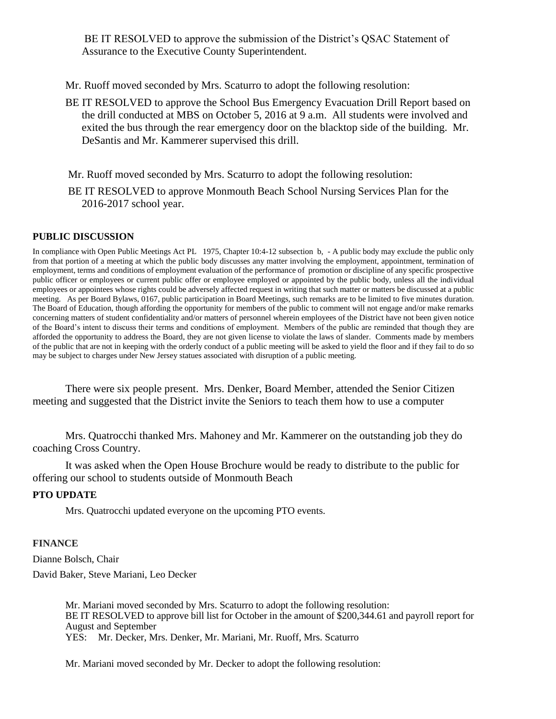BE IT RESOLVED to approve the submission of the District's QSAC Statement of Assurance to the Executive County Superintendent.

- Mr. Ruoff moved seconded by Mrs. Scaturro to adopt the following resolution:
- BE IT RESOLVED to approve the School Bus Emergency Evacuation Drill Report based on the drill conducted at MBS on October 5, 2016 at 9 a.m. All students were involved and exited the bus through the rear emergency door on the blacktop side of the building. Mr. DeSantis and Mr. Kammerer supervised this drill.

Mr. Ruoff moved seconded by Mrs. Scaturro to adopt the following resolution:

BE IT RESOLVED to approve Monmouth Beach School Nursing Services Plan for the 2016-2017 school year.

### **PUBLIC DISCUSSION**

In compliance with Open Public Meetings Act PL 1975, Chapter 10:4-12 subsection b, - A public body may exclude the public only from that portion of a meeting at which the public body discusses any matter involving the employment, appointment, termination of employment, terms and conditions of employment evaluation of the performance of promotion or discipline of any specific prospective public officer or employees or current public offer or employee employed or appointed by the public body, unless all the individual employees or appointees whose rights could be adversely affected request in writing that such matter or matters be discussed at a public meeting. As per Board Bylaws, 0167, public participation in Board Meetings, such remarks are to be limited to five minutes duration. The Board of Education, though affording the opportunity for members of the public to comment will not engage and/or make remarks concerning matters of student confidentiality and/or matters of personnel wherein employees of the District have not been given notice of the Board's intent to discuss their terms and conditions of employment. Members of the public are reminded that though they are afforded the opportunity to address the Board, they are not given license to violate the laws of slander. Comments made by members of the public that are not in keeping with the orderly conduct of a public meeting will be asked to yield the floor and if they fail to do so may be subject to charges under New Jersey statues associated with disruption of a public meeting.

There were six people present. Mrs. Denker, Board Member, attended the Senior Citizen meeting and suggested that the District invite the Seniors to teach them how to use a computer

Mrs. Quatrocchi thanked Mrs. Mahoney and Mr. Kammerer on the outstanding job they do coaching Cross Country.

It was asked when the Open House Brochure would be ready to distribute to the public for offering our school to students outside of Monmouth Beach

### **PTO UPDATE**

Mrs. Quatrocchi updated everyone on the upcoming PTO events.

### **FINANCE**

Dianne Bolsch, Chair David Baker, Steve Mariani, Leo Decker

> Mr. Mariani moved seconded by Mrs. Scaturro to adopt the following resolution: BE IT RESOLVED to approve bill list for October in the amount of \$200,344.61 and payroll report for August and September YES: Mr. Decker, Mrs. Denker, Mr. Mariani, Mr. Ruoff, Mrs. Scaturro

Mr. Mariani moved seconded by Mr. Decker to adopt the following resolution: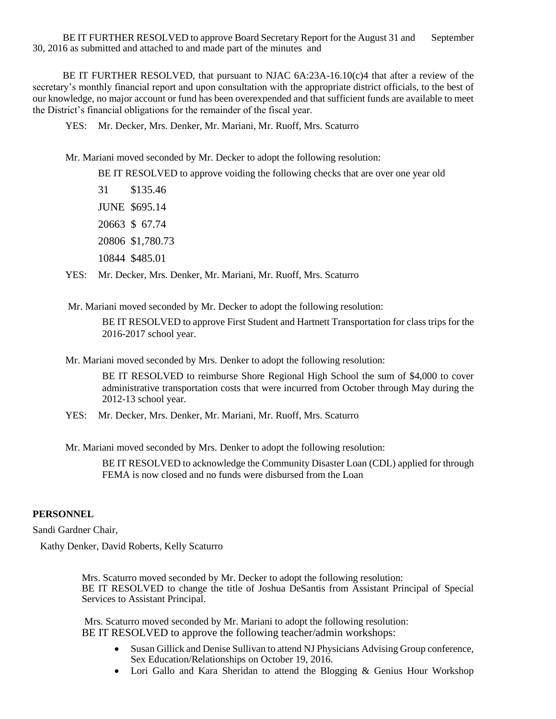BE IT FURTHER RESOLVED to approve Board Secretary Report for the August 31 and September 30, 2016 as submitted and attached to and made part of the minutes and

 BE IT FURTHER RESOLVED, that pursuant to NJAC 6A:23A-16.10(c)4 that after a review of the secretary's monthly financial report and upon consultation with the appropriate district officials, to the best of our knowledge, no major account or fund has been overexpended and that sufficient funds are available to meet the District's financial obligations for the remainder of the fiscal year.

YES: Mr. Decker, Mrs. Denker, Mr. Mariani, Mr. Ruoff, Mrs. Scaturro

Mr. Mariani moved seconded by Mr. Decker to adopt the following resolution:

BE IT RESOLVED to approve voiding the following checks that are over one year old

31 \$135.46 JUNE \$695.14 20663 \$ 67.74 20806 \$1,780.73 10844 \$485.01

YES: Mr. Decker, Mrs. Denker, Mr. Mariani, Mr. Ruoff, Mrs. Scaturro

Mr. Mariani moved seconded by Mr. Decker to adopt the following resolution:

BE IT RESOLVED to approve First Student and Hartnett Transportation for class trips for the 2016-2017 school year.

Mr. Mariani moved seconded by Mrs. Denker to adopt the following resolution:

BE IT RESOLVED to reimburse Shore Regional High School the sum of \$4,000 to cover administrative transportation costs that were incurred from October through May during the 2012-13 school year.

YES: Mr. Decker, Mrs. Denker, Mr. Mariani, Mr. Ruoff, Mrs. Scaturro

Mr. Mariani moved seconded by Mrs. Denker to adopt the following resolution:

BE IT RESOLVED to acknowledge the Community Disaster Loan (CDL) applied for through FEMA is now closed and no funds were disbursed from the Loan

### **PERSONNEL**

Sandi Gardner Chair,

Kathy Denker, David Roberts, Kelly Scaturro

Mrs. Scaturro moved seconded by Mr. Decker to adopt the following resolution: BE IT RESOLVED to change the title of Joshua DeSantis from Assistant Principal of Special Services to Assistant Principal.

Mrs. Scaturro moved seconded by Mr. Mariani to adopt the following resolution: BE IT RESOLVED to approve the following teacher/admin workshops:

- Susan Gillick and Denise Sullivan to attend NJ Physicians Advising Group conference, Sex Education/Relationships on October 19, 2016.
- Lori Gallo and Kara Sheridan to attend the Blogging & Genius Hour Workshop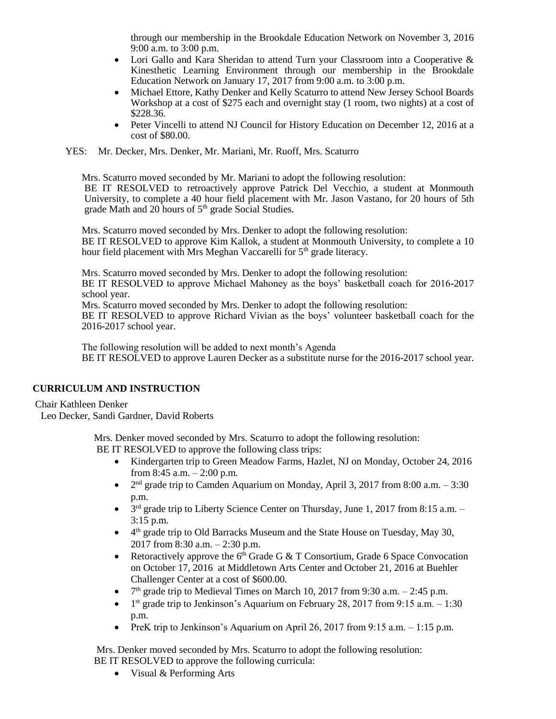through our membership in the Brookdale Education Network on November 3, 2016 9:00 a.m. to 3:00 p.m.

- Lori Gallo and Kara Sheridan to attend Turn your Classroom into a Cooperative & Kinesthetic Learning Environment through our membership in the Brookdale Education Network on January 17, 2017 from 9:00 a.m. to 3:00 p.m.
- Michael Ettore, Kathy Denker and Kelly Scaturro to attend New Jersey School Boards Workshop at a cost of \$275 each and overnight stay (1 room, two nights) at a cost of \$228.36.
- Peter Vincelli to attend NJ Council for History Education on December 12, 2016 at a cost of \$80.00.

YES: Mr. Decker, Mrs. Denker, Mr. Mariani, Mr. Ruoff, Mrs. Scaturro

Mrs. Scaturro moved seconded by Mr. Mariani to adopt the following resolution:

BE IT RESOLVED to retroactively approve Patrick Del Vecchio, a student at Monmouth University, to complete a 40 hour field placement with Mr. Jason Vastano, for 20 hours of 5th grade Math and 20 hours of 5<sup>th</sup> grade Social Studies.

Mrs. Scaturro moved seconded by Mrs. Denker to adopt the following resolution: BE IT RESOLVED to approve Kim Kallok, a student at Monmouth University, to complete a 10 hour field placement with Mrs Meghan Vaccarelli for 5<sup>th</sup> grade literacy.

Mrs. Scaturro moved seconded by Mrs. Denker to adopt the following resolution:

BE IT RESOLVED to approve Michael Mahoney as the boys' basketball coach for 2016-2017 school year.

Mrs. Scaturro moved seconded by Mrs. Denker to adopt the following resolution:

BE IT RESOLVED to approve Richard Vivian as the boys' volunteer basketball coach for the 2016-2017 school year.

The following resolution will be added to next month's Agenda BE IT RESOLVED to approve Lauren Decker as a substitute nurse for the 2016-2017 school year.

# **CURRICULUM AND INSTRUCTION**

### Chair Kathleen Denker

Leo Decker, Sandi Gardner, David Roberts

Mrs. Denker moved seconded by Mrs. Scaturro to adopt the following resolution: BE IT RESOLVED to approve the following class trips:

- Kindergarten trip to Green Meadow Farms, Hazlet, NJ on Monday, October 24, 2016 from 8:45 a.m.  $- 2:00$  p.m.
- $\bullet$  $2<sup>nd</sup>$  grade trip to Camden Aquarium on Monday, April 3, 2017 from 8:00 a.m.  $-3:30$ p.m.
- $\bullet$  $3<sup>rd</sup>$  grade trip to Liberty Science Center on Thursday, June 1, 2017 from 8:15 a.m. – 3:15 p.m.
- $\bullet$  4<sup>th</sup> grade trip to Old Barracks Museum and the State House on Tuesday, May 30, 2017 from 8:30 a.m. – 2:30 p.m.
- Retoractively approve the  $6<sup>th</sup>$  Grade G & T Consortium, Grade 6 Space Convocation on October 17, 2016 at Middletown Arts Center and October 21, 2016 at Buehler Challenger Center at a cost of \$600.00.
- $\bullet$  $7<sup>th</sup>$  grade trip to Medieval Times on March 10, 2017 from 9:30 a.m. – 2:45 p.m.
- $\bullet$  1<sup>st</sup> grade trip to Jenkinson's Aquarium on February 28, 2017 from 9:15 a.m.  $-1:30$ p.m.
- PreK trip to Jenkinson's Aquarium on April 26, 2017 from 9:15 a.m.  $-1:15$  p.m.

Mrs. Denker moved seconded by Mrs. Scaturro to adopt the following resolution: BE IT RESOLVED to approve the following curricula:

• Visual & Performing Arts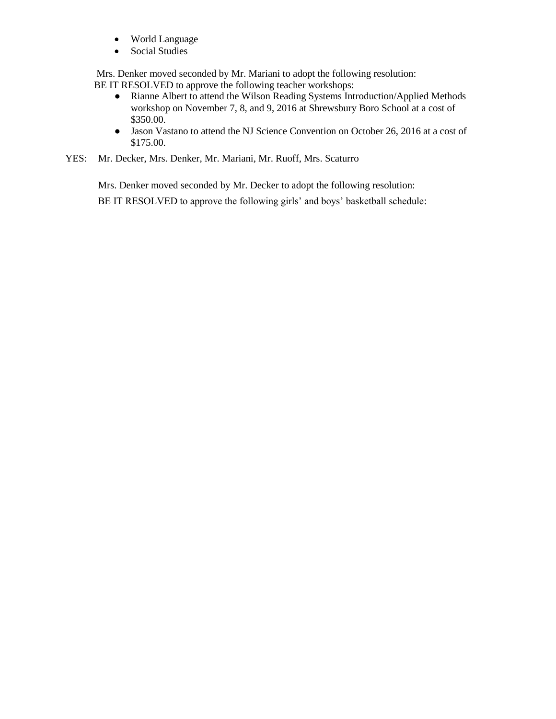- World Language
- Social Studies

Mrs. Denker moved seconded by Mr. Mariani to adopt the following resolution: BE IT RESOLVED to approve the following teacher workshops:

- Rianne Albert to attend the Wilson Reading Systems Introduction/Applied Methods workshop on November 7, 8, and 9, 2016 at Shrewsbury Boro School at a cost of \$350.00.
- Jason Vastano to attend the NJ Science Convention on October 26, 2016 at a cost of \$175.00.
- YES: Mr. Decker, Mrs. Denker, Mr. Mariani, Mr. Ruoff, Mrs. Scaturro

Mrs. Denker moved seconded by Mr. Decker to adopt the following resolution: BE IT RESOLVED to approve the following girls' and boys' basketball schedule: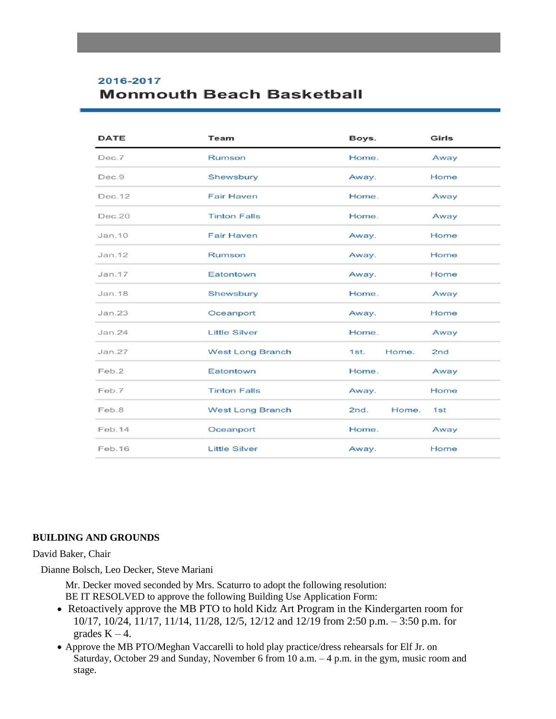# 2016-2017 **Monmouth Beach Basketball**

| <b>DATE</b> | Team                    | Boys.         | Girls |
|-------------|-------------------------|---------------|-------|
| Dec.7       | Rumson                  | Home.         | Away  |
| Dec.9       | Shewsbury               | Away.         | Home  |
| Dec. 12     | <b>Fair Haven</b>       | Home.         | Away  |
| Dec.20      | <b>Tinton Falls</b>     | Home.         | Away  |
| Jan.10      | <b>Fair Haven</b>       | Away.         | Home  |
| Jan. 12     | Rumson                  | Away.         | Home  |
| Jan.17      | Eatontown               | Away.         | Home  |
| Jan. 18     | Shewsbury               | Home.         | Away  |
| Jan.23      | Oceanport               | Away.         | Home  |
| Jan.24      | <b>Little Silver</b>    | Home.         | Away  |
| Jan.27      | <b>West Long Branch</b> | Home.<br>1st. | 2nd   |
| Feb.2       | Eatontown               | Home.         | Away  |
| Feb.7       | <b>Tinton Falls</b>     | Away.         | Home  |
| Feb.8       | <b>West Long Branch</b> | 2nd.<br>Home. | 1st   |
| Feb.14      | Oceanport               | Home.         | Away  |
| Feb. 16     | <b>Little Silver</b>    | Away.         | Home  |

### **BUILDING AND GROUNDS**

### David Baker, Chair

Dianne Bolsch, Leo Decker, Steve Mariani

Mr. Decker moved seconded by Mrs. Scaturro to adopt the following resolution: BE IT RESOLVED to approve the following Building Use Application Form:

- Retoactively approve the MB PTO to hold Kidz Art Program in the Kindergarten room for 10/17, 10/24, 11/17, 11/14, 11/28, 12/5, 12/12 and 12/19 from 2:50 p.m. – 3:50 p.m. for grades  $K - 4$ .
- Approve the MB PTO/Meghan Vaccarelli to hold play practice/dress rehearsals for Elf Jr. on Saturday, October 29 and Sunday, November 6 from 10 a.m. – 4 p.m. in the gym, music room and stage.